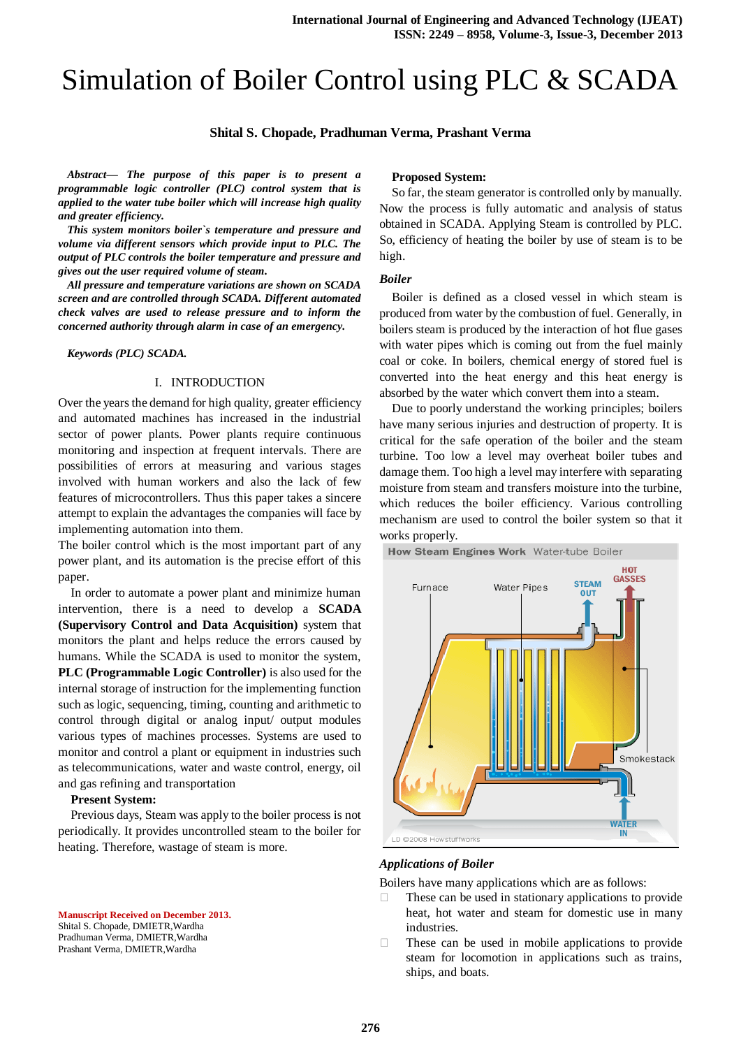# Simulation of Boiler Control using PLC & SCADA

## **Shital S. Chopade, Pradhuman Verma, Prashant Verma**

*Abstract— The purpose of this paper is to present a programmable logic controller (PLC) control system that is applied to the water tube boiler which will increase high quality and greater efficiency.*

*This system monitors boiler`s temperature and pressure and volume via different sensors which provide input to PLC. The output of PLC controls the boiler temperature and pressure and gives out the user required volume of steam.*

*All pressure and temperature variations are shown on SCADA screen and are controlled through SCADA. Different automated check valves are used to release pressure and to inform the concerned authority through alarm in case of an emergency.* 

*Keywords (PLC) SCADA.*

## I. INTRODUCTION

Over the years the demand for high quality, greater efficiency and automated machines has increased in the industrial sector of power plants. Power plants require continuous monitoring and inspection at frequent intervals. There are possibilities of errors at measuring and various stages involved with human workers and also the lack of few features of microcontrollers. Thus this paper takes a sincere attempt to explain the advantages the companies will face by implementing automation into them.

The boiler control which is the most important part of any power plant, and its automation is the precise effort of this paper.

In order to automate a power plant and minimize human intervention, there is a need to develop a **SCADA (Supervisory Control and Data Acquisition)** system that monitors the plant and helps reduce the errors caused by humans. While the SCADA is used to monitor the system, **PLC (Programmable Logic Controller)** is also used for the internal storage of instruction for the implementing function such as logic, sequencing, timing, counting and arithmetic to control through digital or analog input/ output modules various types of machines processes. Systems are used to monitor and control a plant or equipment in industries such as telecommunications, water and waste control, energy, oil and gas refining and transportation

#### **Present System:**

Previous days, Steam was apply to the boiler process is not periodically. It provides uncontrolled steam to the boiler for heating. Therefore, wastage of steam is more.

**Manuscript Received on December 2013.** Shital S. Chopade, DMIETR,Wardha

Pradhuman Verma, DMIETR,Wardha Prashant Verma, DMIETR,Wardha

#### **Proposed System:**

So far, the steam generator is controlled only by manually. Now the process is fully automatic and analysis of status obtained in SCADA. Applying Steam is controlled by PLC. So, efficiency of heating the boiler by use of steam is to be high.

#### *Boiler*

Boiler is defined as a closed vessel in which steam is produced from water by the combustion of fuel. Generally, in boilers steam is produced by the interaction of hot flue gases with water pipes which is coming out from the fuel mainly coal or coke. In boilers, chemical energy of stored fuel is converted into the heat energy and this heat energy is absorbed by the water which convert them into a steam.

Due to poorly understand the working principles; boilers have many serious injuries and destruction of property. It is critical for the safe operation of the boiler and the steam turbine. Too low a level may overheat boiler tubes and damage them. Too high a level may interfere with separating moisture from steam and transfers moisture into the turbine, which reduces the boiler efficiency. Various controlling mechanism are used to control the boiler system so that it works properly.

How Steam Engines Work Water-tube Boiler



#### *Applications of Boiler*

Boilers have many applications which are as follows:

- $\Box$  These can be used in stationary applications to provide heat, hot water and steam for domestic use in many industries.
- $\Box$  These can be used in mobile applications to provide steam for locomotion in applications such as trains, ships, and boats.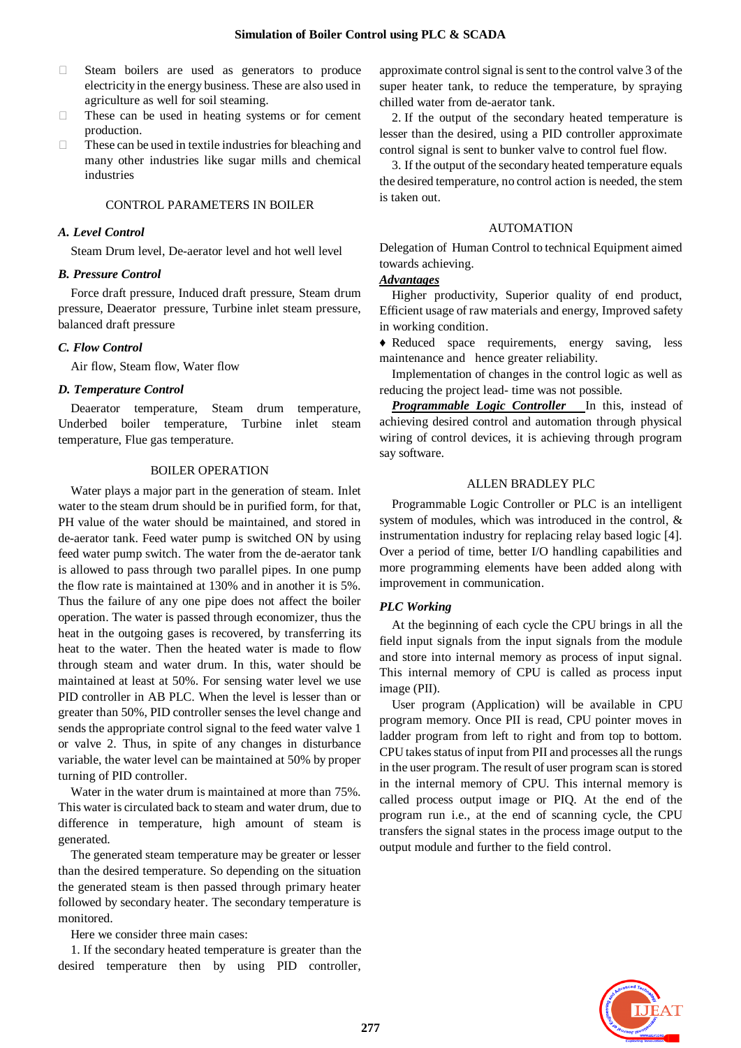- Steam boilers are used as generators to produce electricity in the energy business. These are also used in agriculture as well for soil steaming.
- $\Box$  These can be used in heating systems or for cement production.
- $\Box$  These can be used in textile industries for bleaching and many other industries like sugar mills and chemical industries

#### CONTROL PARAMETERS IN BOILER

#### *A. Level Control*

Steam Drum level, De-aerator level and hot well level

#### *B. Pressure Control*

Force draft pressure, Induced draft pressure, Steam drum pressure, Deaerator pressure, Turbine inlet steam pressure, balanced draft pressure

## *C. Flow Control*

Air flow, Steam flow, Water flow

#### *D. Temperature Control*

Deaerator temperature, Steam drum temperature, Underbed boiler temperature, Turbine inlet steam temperature, Flue gas temperature.

## BOILER OPERATION

Water plays a major part in the generation of steam. Inlet water to the steam drum should be in purified form, for that, PH value of the water should be maintained, and stored in de-aerator tank. Feed water pump is switched ON by using feed water pump switch. The water from the de-aerator tank is allowed to pass through two parallel pipes. In one pump the flow rate is maintained at 130% and in another it is 5%. Thus the failure of any one pipe does not affect the boiler operation. The water is passed through economizer, thus the heat in the outgoing gases is recovered, by transferring its heat to the water. Then the heated water is made to flow through steam and water drum. In this, water should be maintained at least at 50%. For sensing water level we use PID controller in AB PLC. When the level is lesser than or greater than 50%, PID controller senses the level change and sends the appropriate control signal to the feed water valve 1 or valve 2. Thus, in spite of any changes in disturbance variable, the water level can be maintained at 50% by proper turning of PID controller.

Water in the water drum is maintained at more than 75%. This water is circulated back to steam and water drum, due to difference in temperature, high amount of steam is generated.

The generated steam temperature may be greater or lesser than the desired temperature. So depending on the situation the generated steam is then passed through primary heater followed by secondary heater. The secondary temperature is monitored.

Here we consider three main cases:

1. If the secondary heated temperature is greater than the desired temperature then by using PID controller, approximate control signal is sent to the control valve 3 of the super heater tank, to reduce the temperature, by spraying chilled water from de-aerator tank.

2. If the output of the secondary heated temperature is lesser than the desired, using a PID controller approximate control signal is sent to bunker valve to control fuel flow.

3. If the output of the secondary heated temperature equals the desired temperature, no control action is needed, the stem is taken out.

### AUTOMATION

Delegation of Human Control to technical Equipment aimed towards achieving.

# *Advantages*

Higher productivity, Superior quality of end product, Efficient usage of raw materials and energy, Improved safety in working condition.

♦ Reduced space requirements, energy saving, less maintenance and hence greater reliability.

Implementation of changes in the control logic as well as reducing the project lead- time was not possible.

*Programmable Logic Controller* In this, instead of achieving desired control and automation through physical wiring of control devices, it is achieving through program say software.

## ALLEN BRADLEY PLC

Programmable Logic Controller or PLC is an intelligent system of modules, which was introduced in the control, & instrumentation industry for replacing relay based logic [4]. Over a period of time, better I/O handling capabilities and more programming elements have been added along with improvement in communication.

## *PLC Working*

At the beginning of each cycle the CPU brings in all the field input signals from the input signals from the module and store into internal memory as process of input signal. This internal memory of CPU is called as process input image (PII).

User program (Application) will be available in CPU program memory. Once PII is read, CPU pointer moves in ladder program from left to right and from top to bottom. CPU takes status of input from PII and processes all the rungs in the user program. The result of user program scan is stored in the internal memory of CPU. This internal memory is called process output image or PIQ. At the end of the program run i.e., at the end of scanning cycle, the CPU transfers the signal states in the process image output to the output module and further to the field control.

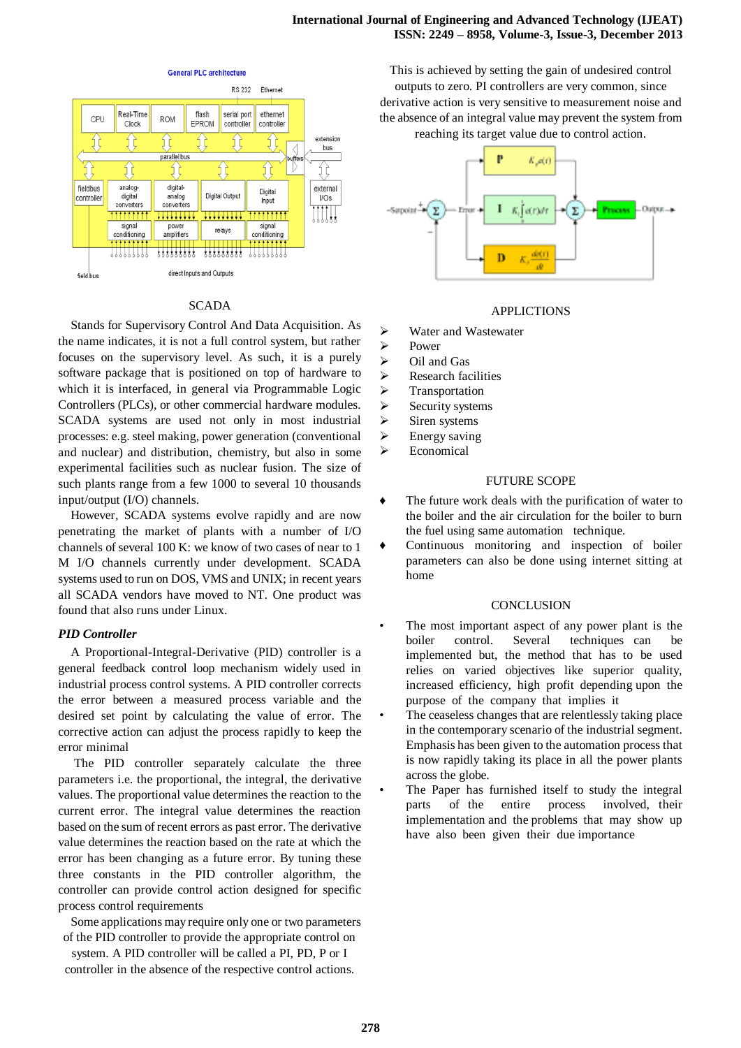

## SCADA

Stands for Supervisory Control And Data Acquisition. As the name indicates, it is not a full control system, but rather focuses on the supervisory level. As such, it is a purely software package that is positioned on top of hardware to which it is interfaced, in general via Programmable Logic Controllers (PLCs), or other commercial hardware modules. SCADA systems are used not only in most industrial processes: e.g. steel making, power generation (conventional and nuclear) and distribution, chemistry, but also in some experimental facilities such as nuclear fusion. The size of such plants range from a few 1000 to several 10 thousands input/output (I/O) channels.

However, SCADA systems evolve rapidly and are now penetrating the market of plants with a number of I/O channels of several 100 K: we know of two cases of near to 1 M I/O channels currently under development. SCADA systems used to run on DOS, VMS and UNIX; in recent years all SCADA vendors have moved to NT. One product was found that also runs under Linux.

# *PID Controller*

A Proportional-Integral-Derivative (PID) controller is a general feedback control loop mechanism widely used in industrial process control systems. A PID controller corrects the error between a measured process variable and the desired set point by calculating the value of error. The corrective action can adjust the process rapidly to keep the error minimal

The PID controller separately calculate the three parameters i.e. the proportional, the integral, the derivative values. The proportional value determines the reaction to the current error. The integral value determines the reaction based on the sum of recent errors as past error. The derivative value determines the reaction based on the rate at which the error has been changing as a future error. By tuning these three constants in the PID controller algorithm, the controller can provide control action designed for specific process control requirements

Some applications may require only one or two parameters of the PID controller to provide the appropriate control on

system. A PID controller will be called a PI, PD, P or I controller in the absence of the respective control actions.

This is achieved by setting the gain of undesired control outputs to zero. PI controllers are very common, since derivative action is very sensitive to measurement noise and the absence of an integral value may prevent the system from reaching its target value due to control action.



## APPLICTIONS

- Water and Wastewater
- > Power
- $\triangleright$  Oil and Gas
- $\triangleright$  Research facilities
- > Transportation
- $\triangleright$  Security systems
- $\triangleright$  Siren systems
- $\triangleright$  Energy saving
- > Economical

# FUTURE SCOPE

- ♦ The future work deals with the purification of water to the boiler and the air circulation for the boiler to burn the fuel using same automation technique*.*
- ♦ Continuous monitoring and inspection of boiler parameters can also be done using internet sitting at home

## **CONCLUSION**

- The most important aspect of any power plant is the boiler control. Several techniques can be implemented but, the method that has to be used relies on varied objectives like superior quality, increased efficiency, high profit depending upon the purpose of the company that implies it
- The ceaseless changes that are relentlessly taking place in the contemporary scenario of the industrial segment. Emphasis has been given to the automation process that is now rapidly taking its place in all the power plants across the globe.
- The Paper has furnished itself to study the integral parts of the entire process involved, their implementation and the problems that may show up have also been given their due importance